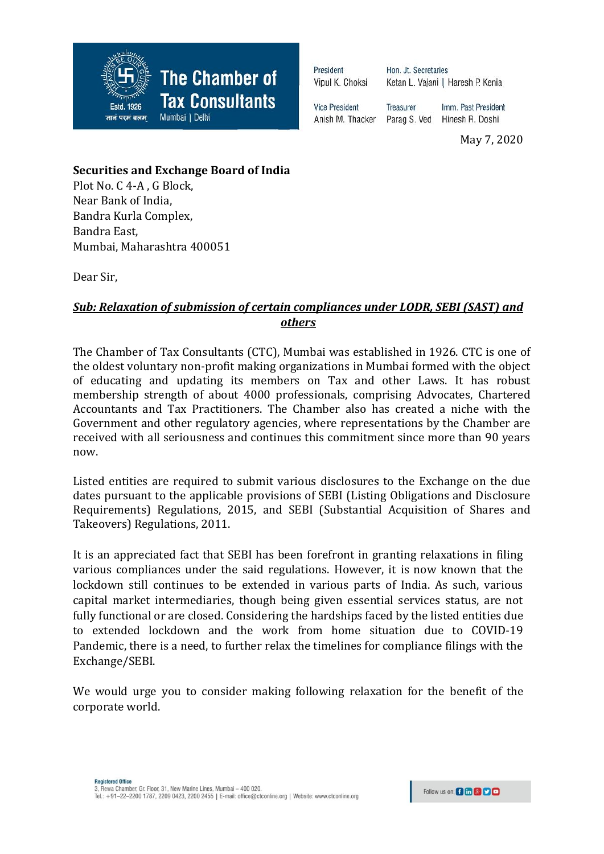

President Vipul K. Choksi Hon. Jt. Secretaries Ketan L. Vajani | Haresh P. Kenia

**Treasurer** 

**Vice President** Anish M. Thacker

Imm. Past President Parag S. Ved Hinesh R. Doshi

May 7, 2020

## **Securities and Exchange Board of India**

Plot No. C 4-A , G Block, Near Bank of India, Bandra Kurla Complex, Bandra East, Mumbai, Maharashtra 400051

Dear Sir,

## *Sub: Relaxation of submission of certain compliances under LODR, SEBI (SAST) and others*

The Chamber of Tax Consultants (CTC), Mumbai was established in 1926. CTC is one of the oldest voluntary non-profit making organizations in Mumbai formed with the object of educating and updating its members on Tax and other Laws. It has robust membership strength of about 4000 professionals, comprising Advocates, Chartered Accountants and Tax Practitioners. The Chamber also has created a niche with the Government and other regulatory agencies, where representations by the Chamber are received with all seriousness and continues this commitment since more than 90 years now.

Listed entities are required to submit various disclosures to the Exchange on the due dates pursuant to the applicable provisions of SEBI (Listing Obligations and Disclosure Requirements) Regulations, 2015, and SEBI (Substantial Acquisition of Shares and Takeovers) Regulations, 2011.

It is an appreciated fact that SEBI has been forefront in granting relaxations in filing various compliances under the said regulations. However, it is now known that the lockdown still continues to be extended in various parts of India. As such, various capital market intermediaries, though being given essential services status, are not fully functional or are closed. Considering the hardships faced by the listed entities due to extended lockdown and the work from home situation due to COVID-19 Pandemic, there is a need, to further relax the timelines for compliance filings with the Exchange/SEBI.

We would urge you to consider making following relaxation for the benefit of the corporate world.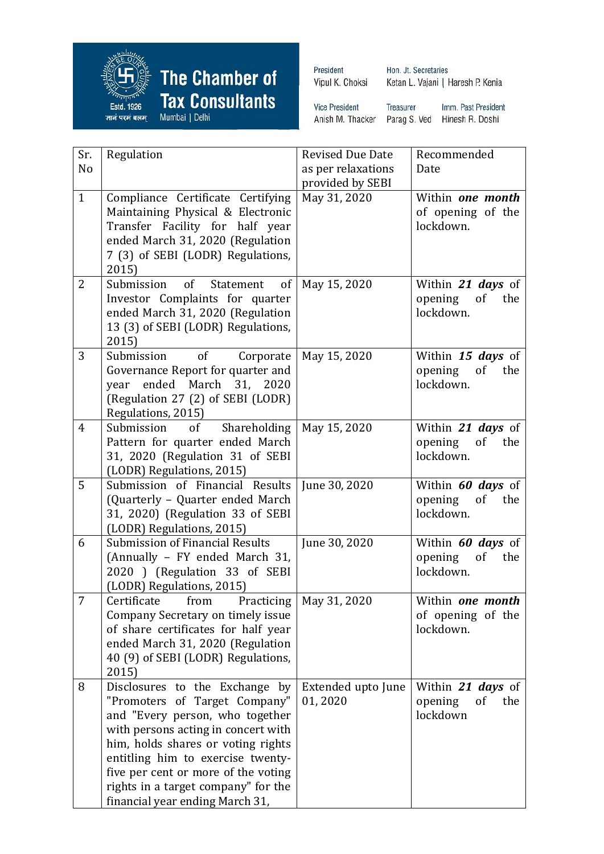

**The Chamber of** Tax Consultants

President Vipul K. Choksi

Hon. Jt. Secretaries Ketan L. Vajani | Haresh P. Kenia

**Vice President** Treasurer Imm. Past President Anish M. Thacker Parag S. Ved Hinesh R. Doshi

| Sr.            | Regulation                                                                                                                                                                                                                                                                                                                            | <b>Revised Due Date</b>       | Recommended                                            |
|----------------|---------------------------------------------------------------------------------------------------------------------------------------------------------------------------------------------------------------------------------------------------------------------------------------------------------------------------------------|-------------------------------|--------------------------------------------------------|
| No             |                                                                                                                                                                                                                                                                                                                                       | as per relaxations            | Date                                                   |
|                |                                                                                                                                                                                                                                                                                                                                       | provided by SEBI              |                                                        |
| $\mathbf{1}$   | Compliance Certificate Certifying<br>Maintaining Physical & Electronic<br>Transfer Facility for half year<br>ended March 31, 2020 (Regulation<br>7 (3) of SEBI (LODR) Regulations,                                                                                                                                                    | May 31, 2020                  | Within one month<br>of opening of the<br>lockdown.     |
|                | 2015)                                                                                                                                                                                                                                                                                                                                 |                               |                                                        |
| $\overline{2}$ | of<br>Submission<br>of<br>Statement<br>Investor Complaints for quarter<br>ended March 31, 2020 (Regulation<br>13 (3) of SEBI (LODR) Regulations,<br>2015)                                                                                                                                                                             | May 15, 2020                  | Within 21 days of<br>opening<br>of<br>the<br>lockdown. |
| 3              | of<br>Submission<br>Corporate<br>Governance Report for quarter and<br>ended March 31,<br>2020<br>year<br>(Regulation 27 (2) of SEBI (LODR)<br>Regulations, 2015)                                                                                                                                                                      | May 15, 2020                  | Within 15 days of<br>opening<br>of<br>the<br>lockdown. |
| $\overline{4}$ | Submission<br>of<br>Shareholding<br>Pattern for quarter ended March<br>31, 2020 (Regulation 31 of SEBI<br>(LODR) Regulations, 2015)                                                                                                                                                                                                   | May 15, 2020                  | Within 21 days of<br>opening<br>of<br>the<br>lockdown. |
| 5              | Submission of Financial Results<br>(Quarterly - Quarter ended March<br>31, 2020) (Regulation 33 of SEBI<br>(LODR) Regulations, 2015)                                                                                                                                                                                                  | June 30, 2020                 | Within 60 days of<br>opening<br>of<br>the<br>lockdown. |
| 6              | <b>Submission of Financial Results</b><br>(Annually - FY ended March 31,<br>2020 ) (Regulation 33 of SEBI<br>(LODR) Regulations, 2015)                                                                                                                                                                                                | June 30, 2020                 | Within 60 days of<br>opening<br>of<br>the<br>lockdown. |
| 7              | Certificate from Practicing   May 31, 2020<br>Company Secretary on timely issue<br>of share certificates for half year<br>ended March 31, 2020 (Regulation<br>40 (9) of SEBI (LODR) Regulations,<br>2015)                                                                                                                             |                               | Within one month<br>of opening of the<br>lockdown.     |
| 8              | Disclosures to the Exchange by<br>"Promoters of Target Company"<br>and "Every person, who together<br>with persons acting in concert with<br>him, holds shares or voting rights<br>entitling him to exercise twenty-<br>five per cent or more of the voting<br>rights in a target company" for the<br>financial year ending March 31, | Extended upto June<br>01,2020 | Within 21 days of<br>opening<br>the<br>of<br>lockdown  |